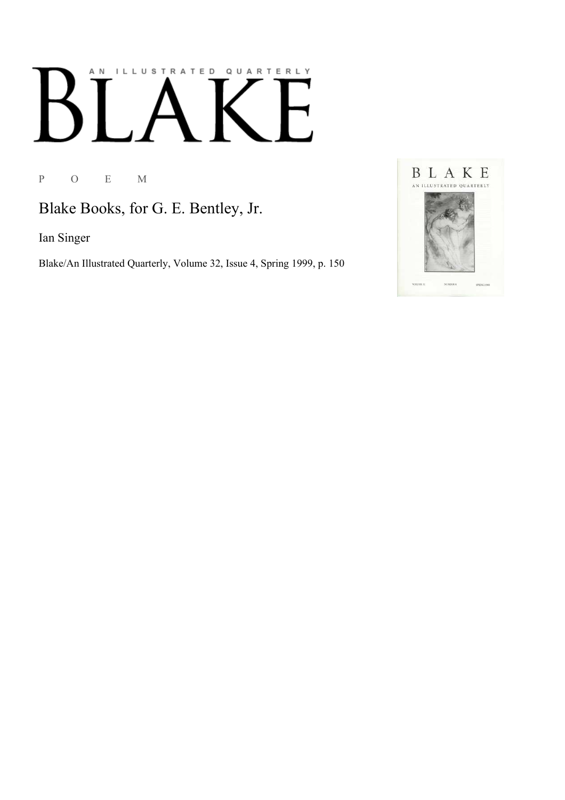# AN ILLUSTRATED QUARTERLY

P O E M

Blake Books, for G. E. Bentley, Jr.

Ian Singer

Blake/An Illustrated Quarterly, Volume 32, Issue 4, Spring 1999, p. 150